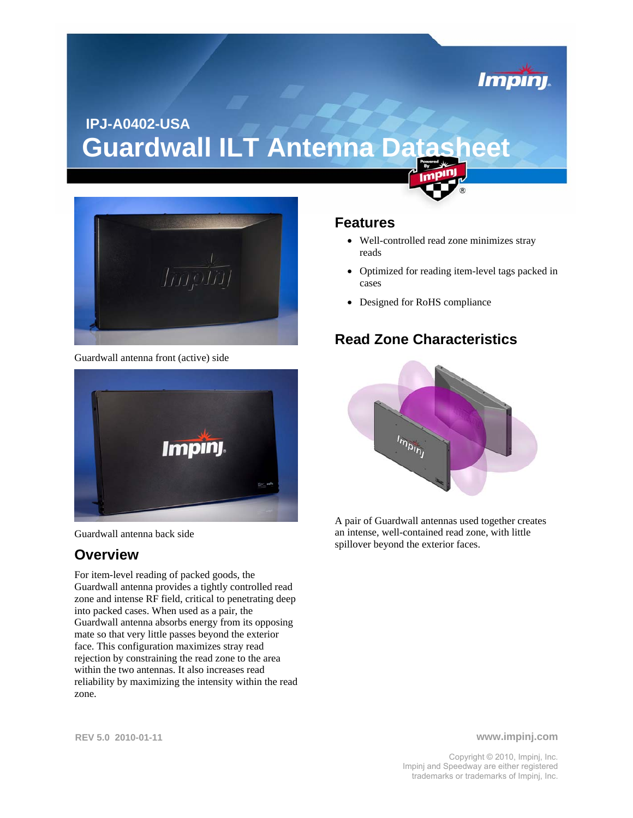# **IPJ-A0402-USA Guardwall ILT Antenna Datasheet**



Guardwall antenna front (active) side





#### **Overview**

For item-level reading of packed goods, the Guardwall antenna provides a tightly controlled read zone and intense RF field, critical to penetrating deep into packed cases. When used as a pair, the Guardwall antenna absorbs energy from its opposing mate so that very little passes beyond the exterior face. This configuration maximizes stray read rejection by constraining the read zone to the area within the two antennas. It also increases read reliability by maximizing the intensity within the read zone.

#### **Features**

- Well-controlled read zone minimizes stray reads
- Optimized for reading item-level tags packed in cases

*Impini* 

• Designed for RoHS compliance

#### **Read Zone Characteristics**



A pair of Guardwall antennas used together creates an intense, well-contained read zone, with little spillover beyond the exterior faces.

**www.impinj.com**

Copyright © 2010, Impinj, Inc. Impinj and Speedway are either registered trademarks or trademarks of Impinj, Inc.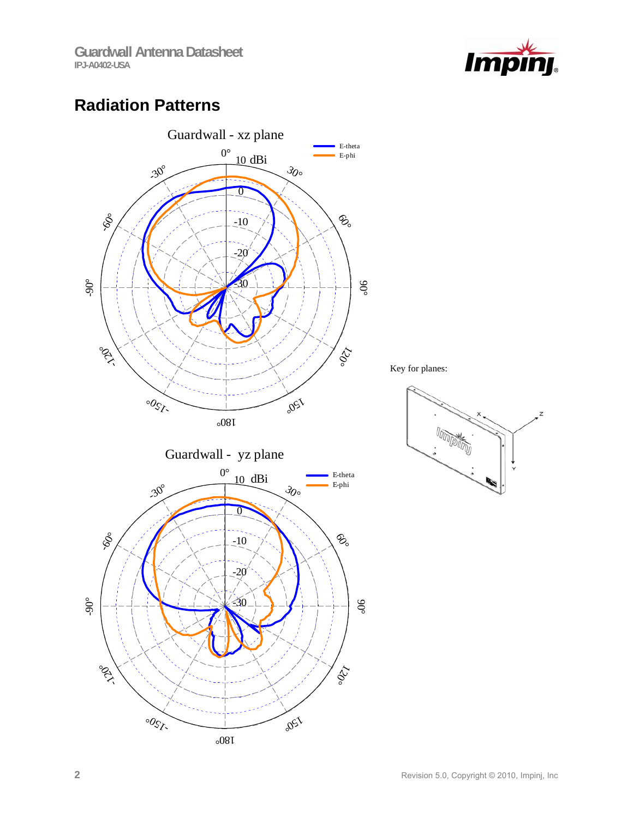

### **Radiation Patterns**

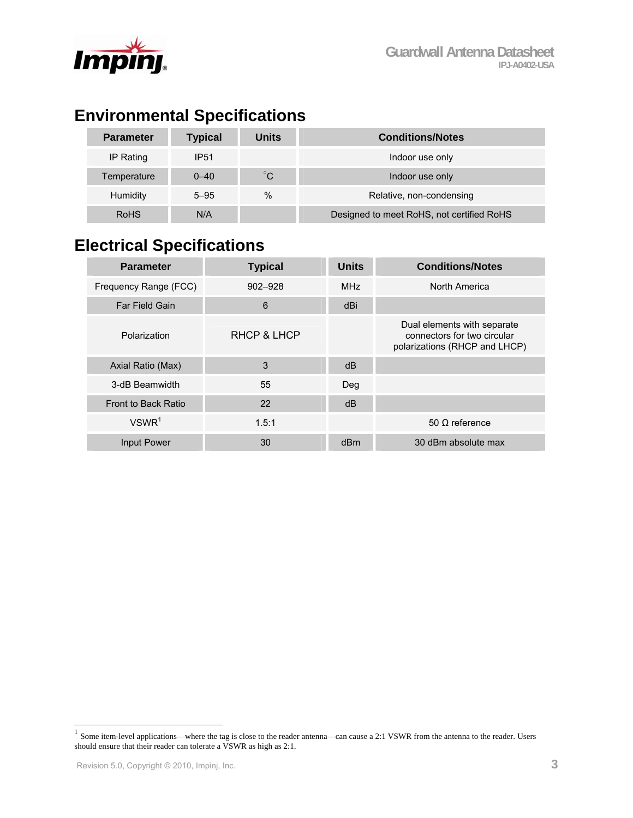



### **Environmental Specifications**

| <b>Parameter</b> | <b>Typical</b> | Units        | <b>Conditions/Notes</b>                   |
|------------------|----------------|--------------|-------------------------------------------|
| IP Rating        | <b>IP51</b>    |              | Indoor use only                           |
| Temperature      | $0 - 40$       | $^{\circ}$ C | Indoor use only                           |
| <b>Humidity</b>  | $5 - 95$       | $\%$         | Relative, non-condensing                  |
| <b>RoHS</b>      | N/A            |              | Designed to meet RoHS, not certified RoHS |

## **Electrical Specifications**

| <b>Parameter</b>      | <b>Typical</b> | <b>Units</b> | <b>Conditions/Notes</b>                                                                     |
|-----------------------|----------------|--------------|---------------------------------------------------------------------------------------------|
| Frequency Range (FCC) | $902 - 928$    | <b>MHz</b>   | North America                                                                               |
| Far Field Gain        | 6              | dBi          |                                                                                             |
| Polarization          | RHCP & LHCP    |              | Dual elements with separate<br>connectors for two circular<br>polarizations (RHCP and LHCP) |
| Axial Ratio (Max)     | 3              | dB           |                                                                                             |
| 3-dB Beamwidth        | 55             | Deg          |                                                                                             |
| Front to Back Ratio   | 22             | dB           |                                                                                             |
| VSWR <sup>1</sup>     | 1.5:1          |              | 50 $\Omega$ reference                                                                       |
| Input Power           | 30             | dBm          | 30 dBm absolute max                                                                         |

 $\overline{a}$ 

 $<sup>1</sup>$  Some item-level applications—where the tag is close to the reader antenna—can cause a 2:1 VSWR from the antenna to the reader. Users</sup> should ensure that their reader can tolerate a VSWR as high as 2:1.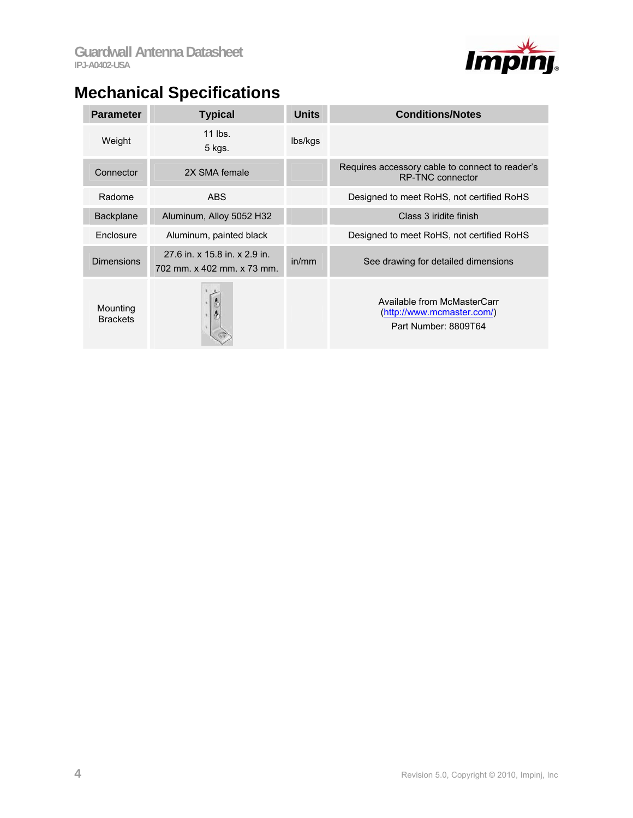

# **Mechanical Specifications**

| <b>Parameter</b>            | <b>Typical</b>                                              | <b>Units</b> | <b>Conditions/Notes</b>                                                           |
|-----------------------------|-------------------------------------------------------------|--------------|-----------------------------------------------------------------------------------|
| Weight                      | 11 lbs.<br>5 kgs.                                           | lbs/kgs      |                                                                                   |
| Connector                   | 2X SMA female                                               |              | Requires accessory cable to connect to reader's<br><b>RP-TNC connector</b>        |
| Radome                      | <b>ABS</b>                                                  |              | Designed to meet RoHS, not certified RoHS                                         |
| <b>Backplane</b>            | Aluminum, Alloy 5052 H32                                    |              | Class 3 iridite finish                                                            |
| Enclosure                   | Aluminum, painted black                                     |              | Designed to meet RoHS, not certified RoHS                                         |
| <b>Dimensions</b>           | 27.6 in. x 15.8 in. x 2.9 in.<br>702 mm. x 402 mm. x 73 mm. | in/mm        | See drawing for detailed dimensions                                               |
| Mounting<br><b>Brackets</b> |                                                             |              | Available from McMasterCarr<br>(http://www.mcmaster.com/)<br>Part Number: 8809T64 |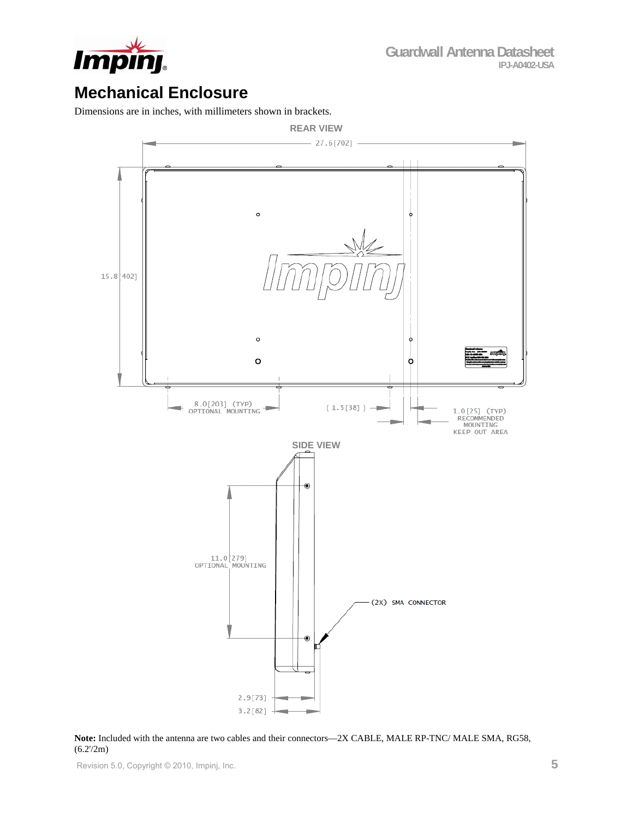

### **Mechanical Enclosure**

Dimensions are in inches, with millimeters shown in brackets.



**Note:** Included with the antenna are two cables and their connectors—2X CABLE, MALE RP-TNC/ MALE SMA, RG58,  $(6.2'/2m)$